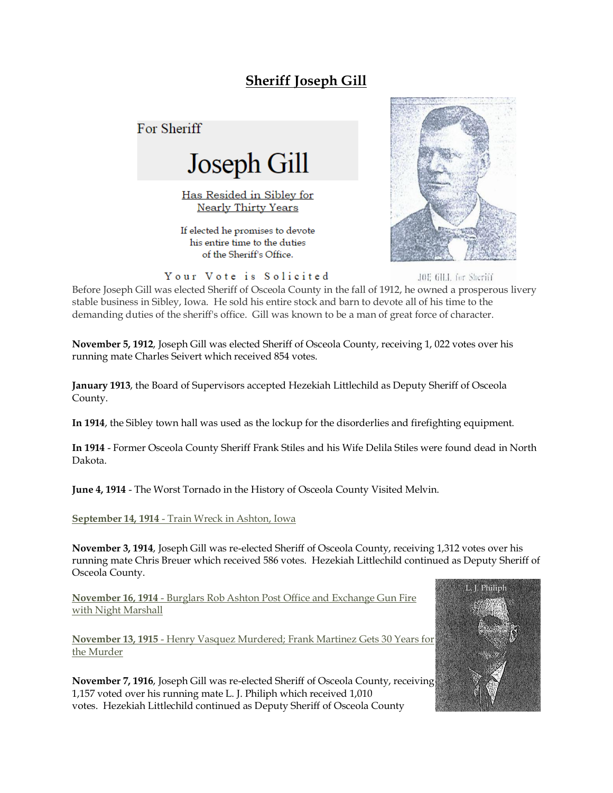## **Sheriff Joseph Gill**

For Sheriff



Has Resided in Sibley for **Nearly Thirty Years** 

If elected he promises to devote his entire time to the duties of the Sheriff's Office.



JOE GILL for Sheriff

Your Vote is Solicited

Before Joseph Gill was elected Sheriff of Osceola County in the fall of 1912, he owned a prosperous livery stable business in Sibley, Iowa. He sold his entire stock and barn to devote all of his time to the demanding duties of the sheriff's office. Gill was known to be a man of great force of character.

**November 5, 1912**, Joseph Gill was elected Sheriff of Osceola County, receiving 1, 022 votes over his running mate Charles Seivert which received 854 votes.

**January 1913**, the Board of Supervisors accepted Hezekiah Littlechild as Deputy Sheriff of Osceola County.

**In 1914**, the Sibley town hall was used as the lockup for the disorderlies and firefighting equipment.

**In 1914** - Former Osceola County Sheriff Frank Stiles and his Wife Delila Stiles were found dead in North Dakota.

**June 4, 1914** - The Worst Tornado in the History of Osceola County Visited Melvin.

**September 14, 1914** - Train Wreck in Ashton, Iowa

**November 3, 1914**, Joseph Gill was re-elected Sheriff of Osceola County, receiving 1,312 votes over his running mate Chris Breuer which received 586 votes. Hezekiah Littlechild continued as Deputy Sheriff of Osceola County.

**November 16, 1914** - Burglars Rob Ashton Post Office and Exchange Gun Fire with Night Marshall

**November 13, 1915** - Henry Vasquez Murdered; Frank Martinez Gets 30 Years for the Murder

**November 7, 1916**, Joseph Gill was re-elected Sheriff of Osceola County, receiving 1,157 voted over his running mate L. J. Philiph which received 1,010 votes. Hezekiah Littlechild continued as Deputy Sheriff of Osceola County